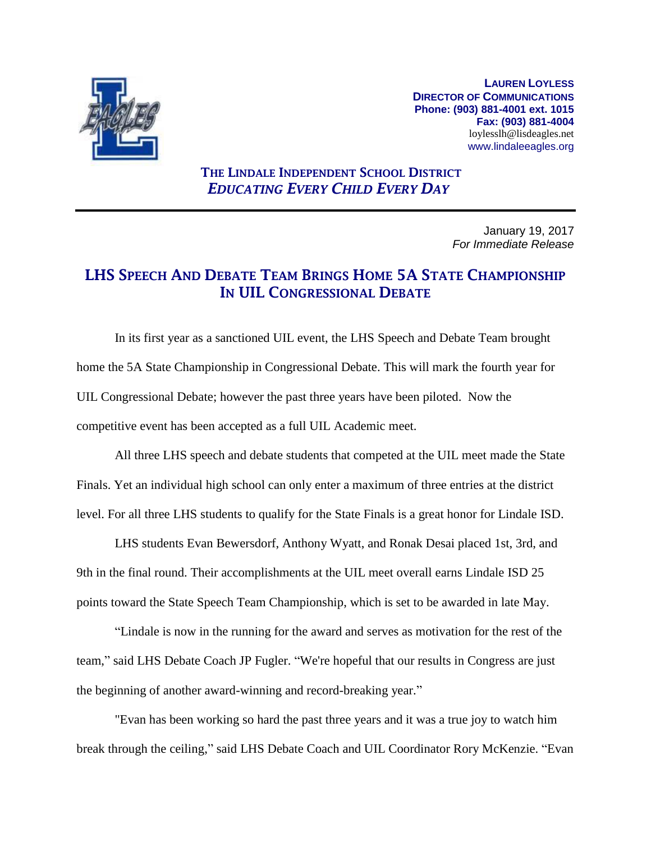

**LAUREN LOYLESS DIRECTOR OF COMMUNICATIONS Phone: (903) 881-4001 ext. 1015 Fax: (903) 881-4004** loylesslh@lisdeagles.net www.lindaleeagles.org

## **THE LINDALE INDEPENDENT SCHOOL DISTRICT** *EDUCATING EVERY CHILD EVERY DAY*

January 19, 2017 *For Immediate Release*

## **LHS SPEECH AND DEBATE TEAM BRINGS HOME 5A STATE CHAMPIONSHIP IN UIL CONGRESSIONAL DEBATE**

In its first year as a sanctioned UIL event, the LHS Speech and Debate Team brought home the 5A State Championship in Congressional Debate. This will mark the fourth year for UIL Congressional Debate; however the past three years have been piloted. Now the competitive event has been accepted as a full UIL Academic meet.

All three LHS speech and debate students that competed at the UIL meet made the State Finals. Yet an individual high school can only enter a maximum of three entries at the district level. For all three LHS students to qualify for the State Finals is a great honor for Lindale ISD.

LHS students Evan Bewersdorf, Anthony Wyatt, and Ronak Desai placed 1st, 3rd, and 9th in the final round. Their accomplishments at the UIL meet overall earns Lindale ISD 25 points toward the State Speech Team Championship, which is set to be awarded in late May.

"Lindale is now in the running for the award and serves as motivation for the rest of the team," said LHS Debate Coach JP Fugler. "We're hopeful that our results in Congress are just the beginning of another award-winning and record-breaking year."

"Evan has been working so hard the past three years and it was a true joy to watch him break through the ceiling," said LHS Debate Coach and UIL Coordinator Rory McKenzie. "Evan